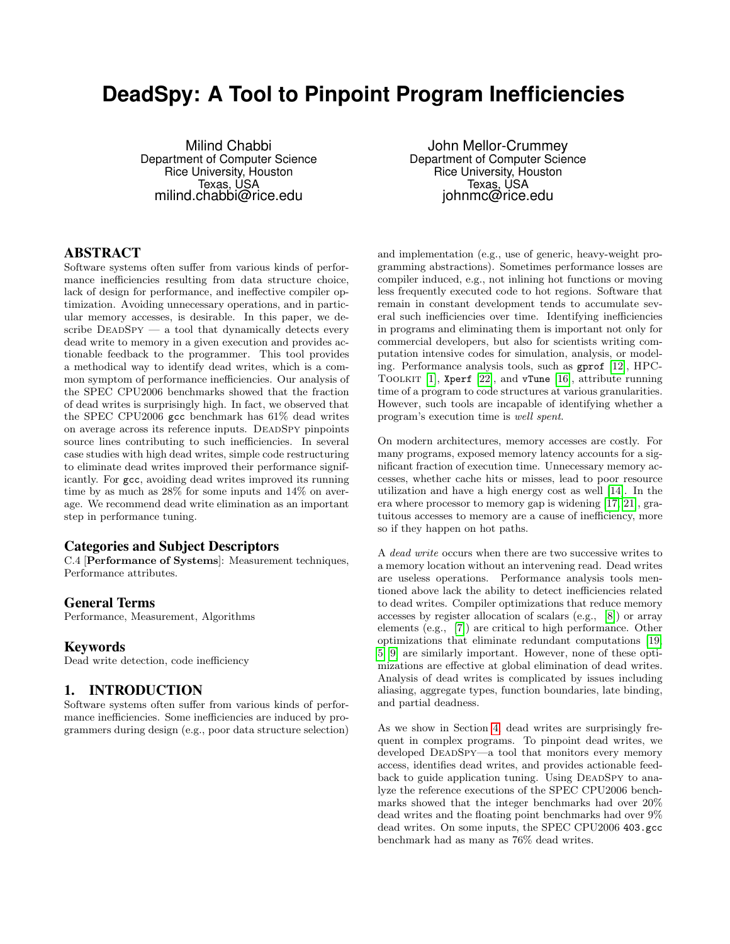# **DeadSpy: A Tool to Pinpoint Program Inefficiencies**

Milind Chabbi Department of Computer Science Rice University, Houston Texas, USA milind.chabbi@rice.edu

John Mellor-Crummey Department of Computer Science Rice University, Houston Texas, USA johnmc@rice.edu

## ABSTRACT

Software systems often suffer from various kinds of performance inefficiencies resulting from data structure choice, lack of design for performance, and ineffective compiler optimization. Avoiding unnecessary operations, and in particular memory accesses, is desirable. In this paper, we describe  $DEADSPY$  — a tool that dynamically detects every dead write to memory in a given execution and provides actionable feedback to the programmer. This tool provides a methodical way to identify dead writes, which is a common symptom of performance inefficiencies. Our analysis of the SPEC CPU2006 benchmarks showed that the fraction of dead writes is surprisingly high. In fact, we observed that the SPEC CPU2006 gcc benchmark has 61% dead writes on average across its reference inputs. DEADSPY pinpoints source lines contributing to such inefficiencies. In several case studies with high dead writes, simple code restructuring to eliminate dead writes improved their performance significantly. For gcc, avoiding dead writes improved its running time by as much as 28% for some inputs and 14% on average. We recommend dead write elimination as an important step in performance tuning.

#### Categories and Subject Descriptors

C.4 [Performance of Systems]: Measurement techniques, Performance attributes.

#### General Terms

Performance, Measurement, Algorithms

#### Keywords

Dead write detection, code inefficiency

## 1. INTRODUCTION

Software systems often suffer from various kinds of performance inefficiencies. Some inefficiencies are induced by programmers during design (e.g., poor data structure selection)

and implementation (e.g., use of generic, heavy-weight programming abstractions). Sometimes performance losses are compiler induced, e.g., not inlining hot functions or moving less frequently executed code to hot regions. Software that remain in constant development tends to accumulate several such inefficiencies over time. Identifying inefficiencies in programs and eliminating them is important not only for commercial developers, but also for scientists writing computation intensive codes for simulation, analysis, or modeling. Performance analysis tools, such as gprof [\[12\]](#page-10-0), HPC-Toolkit [\[1\]](#page-9-0), Xperf [\[22\]](#page-10-1), and vTune [\[16\]](#page-10-2), attribute running time of a program to code structures at various granularities. However, such tools are incapable of identifying whether a program's execution time is well spent.

On modern architectures, memory accesses are costly. For many programs, exposed memory latency accounts for a significant fraction of execution time. Unnecessary memory accesses, whether cache hits or misses, lead to poor resource utilization and have a high energy cost as well [\[14\]](#page-10-3). In the era where processor to memory gap is widening [\[17,](#page-10-4) [21\]](#page-10-5), gratuitous accesses to memory are a cause of inefficiency, more so if they happen on hot paths.

A dead write occurs when there are two successive writes to a memory location without an intervening read. Dead writes are useless operations. Performance analysis tools mentioned above lack the ability to detect inefficiencies related to dead writes. Compiler optimizations that reduce memory accesses by register allocation of scalars (e.g., [\[8\]](#page-10-6)) or array elements (e.g., [\[7\]](#page-10-7)) are critical to high performance. Other optimizations that eliminate redundant computations [\[19,](#page-10-8) [5,](#page-9-1) [9\]](#page-10-9) are similarly important. However, none of these optimizations are effective at global elimination of dead writes. Analysis of dead writes is complicated by issues including aliasing, aggregate types, function boundaries, late binding, and partial deadness.

As we show in Section [4,](#page-4-0) dead writes are surprisingly frequent in complex programs. To pinpoint dead writes, we developed DEADSPY—a tool that monitors every memory access, identifies dead writes, and provides actionable feedback to guide application tuning. Using DEADSPY to analyze the reference executions of the SPEC CPU2006 benchmarks showed that the integer benchmarks had over 20% dead writes and the floating point benchmarks had over 9% dead writes. On some inputs, the SPEC CPU2006 403.gcc benchmark had as many as 76% dead writes.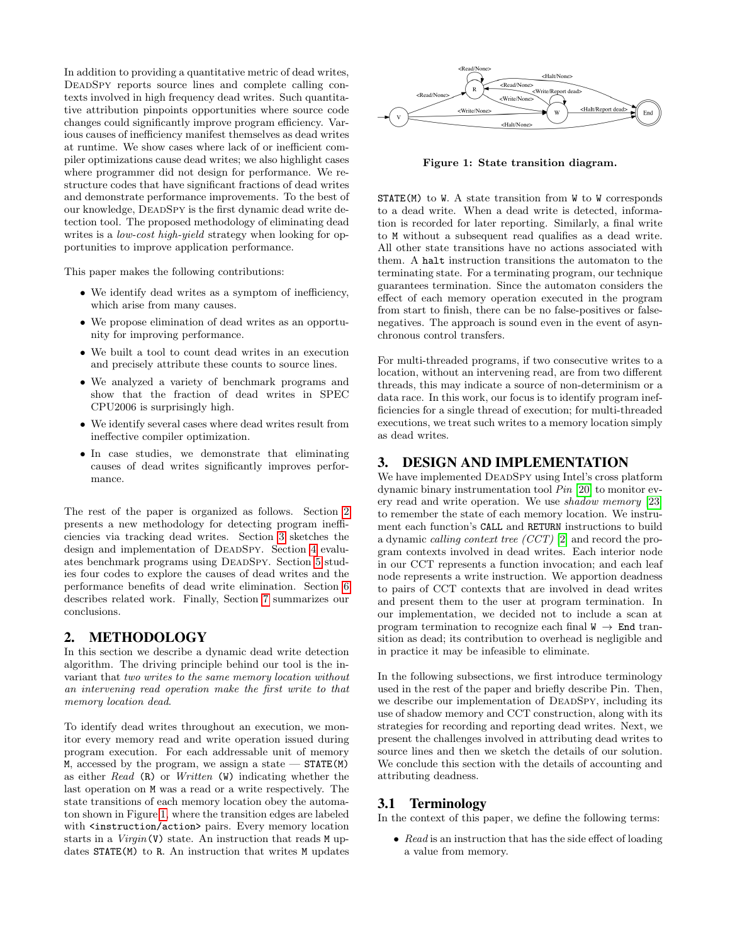In addition to providing a quantitative metric of dead writes, DEADSPY reports source lines and complete calling contexts involved in high frequency dead writes. Such quantitative attribution pinpoints opportunities where source code changes could significantly improve program efficiency. Various causes of inefficiency manifest themselves as dead writes at runtime. We show cases where lack of or inefficient compiler optimizations cause dead writes; we also highlight cases where programmer did not design for performance. We restructure codes that have significant fractions of dead writes and demonstrate performance improvements. To the best of our knowledge, DEADSPY is the first dynamic dead write detection tool. The proposed methodology of eliminating dead writes is a *low-cost high-yield* strategy when looking for opportunities to improve application performance.

This paper makes the following contributions:

- We identify dead writes as a symptom of inefficiency, which arise from many causes.
- We propose elimination of dead writes as an opportunity for improving performance.
- We built a tool to count dead writes in an execution and precisely attribute these counts to source lines.
- We analyzed a variety of benchmark programs and show that the fraction of dead writes in SPEC CPU2006 is surprisingly high.
- We identify several cases where dead writes result from ineffective compiler optimization.
- In case studies, we demonstrate that eliminating causes of dead writes significantly improves performance.

The rest of the paper is organized as follows. Section [2](#page-1-0) presents a new methodology for detecting program inefficiencies via tracking dead writes. Section [3](#page-1-1) sketches the design and implementation of DEADSPY. Section [4](#page-4-0) evaluates benchmark programs using DeadSpy. Section [5](#page-5-0) studies four codes to explore the causes of dead writes and the performance benefits of dead write elimination. Section [6](#page-8-0) describes related work. Finally, Section [7](#page-9-2) summarizes our conclusions.

### <span id="page-1-0"></span>2. METHODOLOGY

In this section we describe a dynamic dead write detection algorithm. The driving principle behind our tool is the invariant that two writes to the same memory location without an intervening read operation make the first write to that memory location dead.

To identify dead writes throughout an execution, we monitor every memory read and write operation issued during program execution. For each addressable unit of memory  $M$ , accessed by the program, we assign a state  $-$  STATE(M) as either Read  $(R)$  or Written  $(W)$  indicating whether the last operation on M was a read or a write respectively. The state transitions of each memory location obey the automaton shown in Figure [1,](#page-1-2) where the transition edges are labeled with <instruction/action> pairs. Every memory location starts in a Virgin(V) state. An instruction that reads M updates STATE(M) to R. An instruction that writes M updates



<span id="page-1-2"></span>Figure 1: State transition diagram.

STATE(M) to W. A state transition from W to W corresponds to a dead write. When a dead write is detected, information is recorded for later reporting. Similarly, a final write to M without a subsequent read qualifies as a dead write. All other state transitions have no actions associated with them. A halt instruction transitions the automaton to the terminating state. For a terminating program, our technique guarantees termination. Since the automaton considers the effect of each memory operation executed in the program from start to finish, there can be no false-positives or falsenegatives. The approach is sound even in the event of asynchronous control transfers.

For multi-threaded programs, if two consecutive writes to a location, without an intervening read, are from two different threads, this may indicate a source of non-determinism or a data race. In this work, our focus is to identify program inefficiencies for a single thread of execution; for multi-threaded executions, we treat such writes to a memory location simply as dead writes.

## <span id="page-1-1"></span>3. DESIGN AND IMPLEMENTATION

We have implemented DEADSPY using Intel's cross platform dynamic binary instrumentation tool Pin [\[20\]](#page-10-10) to monitor every read and write operation. We use shadow memory [\[23\]](#page-10-11) to remember the state of each memory location. We instrument each function's CALL and RETURN instructions to build a dynamic calling context tree (CCT) [\[2\]](#page-9-3) and record the program contexts involved in dead writes. Each interior node in our CCT represents a function invocation; and each leaf node represents a write instruction. We apportion deadness to pairs of CCT contexts that are involved in dead writes and present them to the user at program termination. In our implementation, we decided not to include a scan at program termination to recognize each final  $W \rightarrow$  End transition as dead; its contribution to overhead is negligible and in practice it may be infeasible to eliminate.

In the following subsections, we first introduce terminology used in the rest of the paper and briefly describe Pin. Then, we describe our implementation of DEADSPY, including its use of shadow memory and CCT construction, along with its strategies for recording and reporting dead writes. Next, we present the challenges involved in attributing dead writes to source lines and then we sketch the details of our solution. We conclude this section with the details of accounting and attributing deadness.

#### 3.1 Terminology

In the context of this paper, we define the following terms:

• Read is an instruction that has the side effect of loading a value from memory.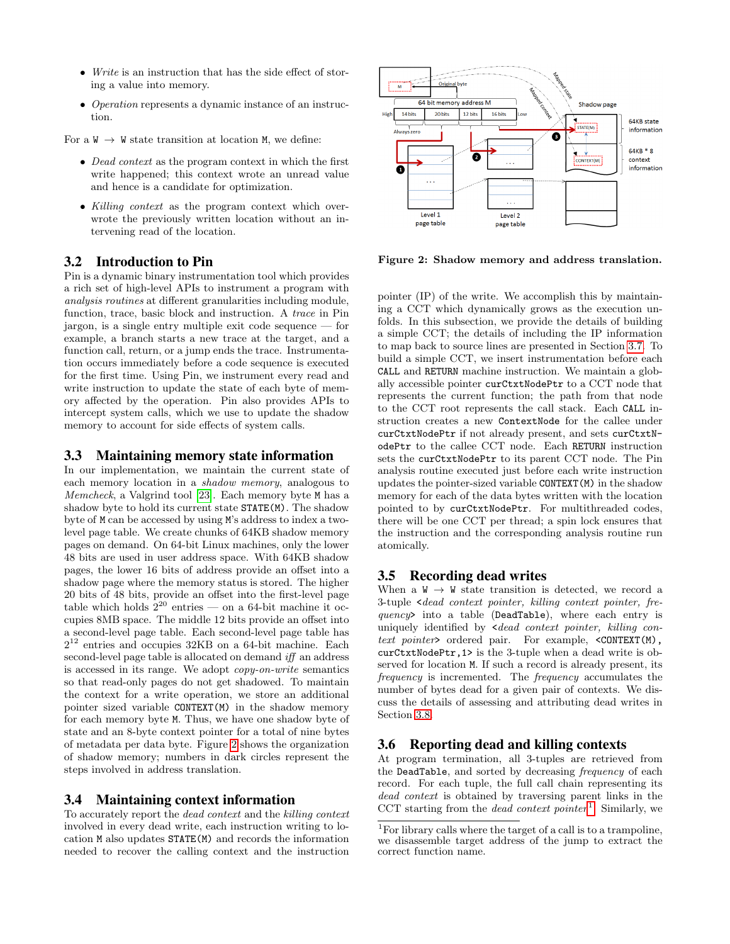- Write is an instruction that has the side effect of storing a value into memory.
- Operation represents a dynamic instance of an instruction.

For a  $W \rightarrow W$  state transition at location M, we define:

- Dead context as the program context in which the first write happened; this context wrote an unread value and hence is a candidate for optimization.
- Killing context as the program context which overwrote the previously written location without an intervening read of the location.

# 3.2 Introduction to Pin

Pin is a dynamic binary instrumentation tool which provides a rich set of high-level APIs to instrument a program with analysis routines at different granularities including module, function, trace, basic block and instruction. A trace in Pin jargon, is a single entry multiple exit code sequence — for example, a branch starts a new trace at the target, and a function call, return, or a jump ends the trace. Instrumentation occurs immediately before a code sequence is executed for the first time. Using Pin, we instrument every read and write instruction to update the state of each byte of memory affected by the operation. Pin also provides APIs to intercept system calls, which we use to update the shadow memory to account for side effects of system calls.

#### 3.3 Maintaining memory state information

In our implementation, we maintain the current state of each memory location in a shadow memory, analogous to Memcheck, a Valgrind tool [\[23\]](#page-10-11). Each memory byte M has a shadow byte to hold its current state STATE(M). The shadow byte of M can be accessed by using M's address to index a twolevel page table. We create chunks of 64KB shadow memory pages on demand. On 64-bit Linux machines, only the lower 48 bits are used in user address space. With 64KB shadow pages, the lower 16 bits of address provide an offset into a shadow page where the memory status is stored. The higher 20 bits of 48 bits, provide an offset into the first-level page table which holds  $2^{20}$  entries — on a 64-bit machine it occupies 8MB space. The middle 12 bits provide an offset into a second-level page table. Each second-level page table has  $2^{12}$  entries and occupies 32KB on a 64-bit machine. Each second-level page table is allocated on demand iff an address is accessed in its range. We adopt copy-on-write semantics so that read-only pages do not get shadowed. To maintain the context for a write operation, we store an additional pointer sized variable CONTEXT(M) in the shadow memory for each memory byte M. Thus, we have one shadow byte of state and an 8-byte context pointer for a total of nine bytes of metadata per data byte. Figure [2](#page-2-0) shows the organization of shadow memory; numbers in dark circles represent the steps involved in address translation.

## 3.4 Maintaining context information

To accurately report the dead context and the killing context involved in every dead write, each instruction writing to location M also updates STATE(M) and records the information needed to recover the calling context and the instruction



<span id="page-2-0"></span>Figure 2: Shadow memory and address translation.

pointer (IP) of the write. We accomplish this by maintaining a CCT which dynamically grows as the execution unfolds. In this subsection, we provide the details of building a simple CCT; the details of including the IP information to map back to source lines are presented in Section [3.7.](#page-3-0) To build a simple CCT, we insert instrumentation before each CALL and RETURN machine instruction. We maintain a globally accessible pointer curCtxtNodePtr to a CCT node that represents the current function; the path from that node to the CCT root represents the call stack. Each CALL instruction creates a new ContextNode for the callee under curCtxtNodePtr if not already present, and sets curCtxtNodePtr to the callee CCT node. Each RETURN instruction sets the curCtxtNodePtr to its parent CCT node. The Pin analysis routine executed just before each write instruction updates the pointer-sized variable CONTEXT(M) in the shadow memory for each of the data bytes written with the location pointed to by curCtxtNodePtr. For multithreaded codes, there will be one CCT per thread; a spin lock ensures that the instruction and the corresponding analysis routine run atomically.

## <span id="page-2-2"></span>3.5 Recording dead writes

When a  $W \rightarrow W$  state transition is detected, we record a 3-tuple <dead context pointer, killing context pointer, fre $query$  into a table (DeadTable), where each entry is uniquely identified by <dead context pointer, killing context pointer> ordered pair. For example, <CONTEXT(M), curCtxtNodePtr,1> is the 3-tuple when a dead write is observed for location M. If such a record is already present, its frequency is incremented. The frequency accumulates the number of bytes dead for a given pair of contexts. We discuss the details of assessing and attributing dead writes in Section [3.8.](#page-3-1)

## 3.6 Reporting dead and killing contexts

At program termination, all 3-tuples are retrieved from the DeadTable, and sorted by decreasing frequency of each record. For each tuple, the full call chain representing its dead context is obtained by traversing parent links in the CCT starting from the *dead context pointer*<sup>[1](#page-2-1)</sup>. Similarly, we

<span id="page-2-1"></span><sup>1</sup>For library calls where the target of a call is to a trampoline, we disassemble target address of the jump to extract the correct function name.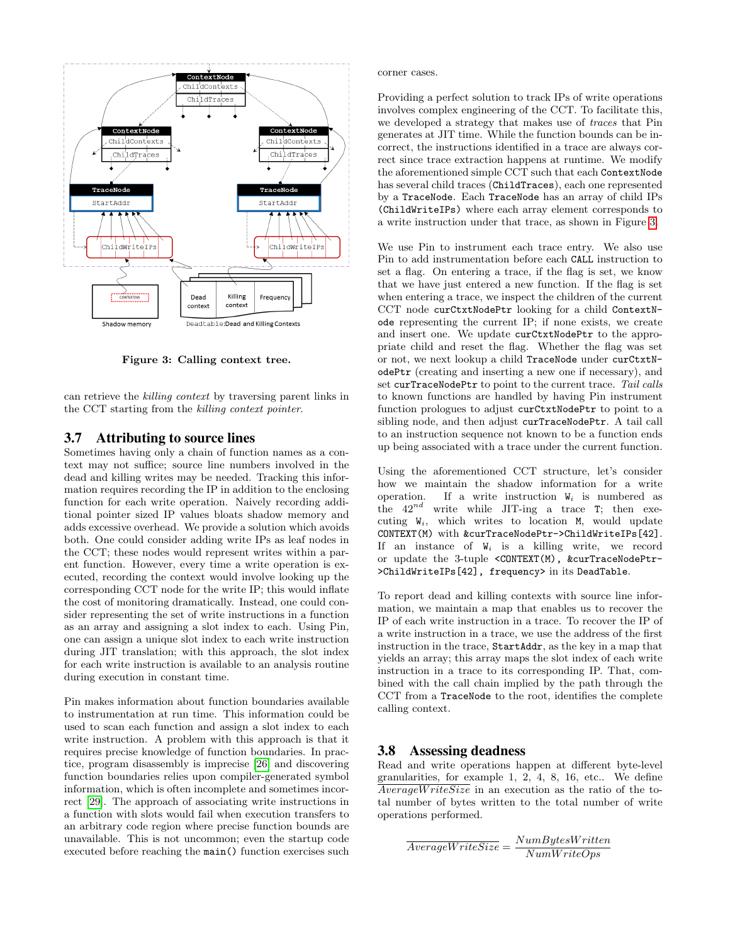

<span id="page-3-2"></span>Figure 3: Calling context tree.

can retrieve the killing context by traversing parent links in the CCT starting from the killing context pointer.

### <span id="page-3-0"></span>3.7 Attributing to source lines

Sometimes having only a chain of function names as a context may not suffice; source line numbers involved in the dead and killing writes may be needed. Tracking this information requires recording the IP in addition to the enclosing function for each write operation. Naively recording additional pointer sized IP values bloats shadow memory and adds excessive overhead. We provide a solution which avoids both. One could consider adding write IPs as leaf nodes in the CCT; these nodes would represent writes within a parent function. However, every time a write operation is executed, recording the context would involve looking up the corresponding CCT node for the write IP; this would inflate the cost of monitoring dramatically. Instead, one could consider representing the set of write instructions in a function as an array and assigning a slot index to each. Using Pin, one can assign a unique slot index to each write instruction during JIT translation; with this approach, the slot index for each write instruction is available to an analysis routine during execution in constant time.

Pin makes information about function boundaries available to instrumentation at run time. This information could be used to scan each function and assign a slot index to each write instruction. A problem with this approach is that it requires precise knowledge of function boundaries. In practice, program disassembly is imprecise [\[26\]](#page-10-12) and discovering function boundaries relies upon compiler-generated symbol information, which is often incomplete and sometimes incorrect [\[29\]](#page-10-13). The approach of associating write instructions in a function with slots would fail when execution transfers to an arbitrary code region where precise function bounds are unavailable. This is not uncommon; even the startup code executed before reaching the main() function exercises such

corner cases.

Providing a perfect solution to track IPs of write operations involves complex engineering of the CCT. To facilitate this, we developed a strategy that makes use of traces that Pin generates at JIT time. While the function bounds can be incorrect, the instructions identified in a trace are always correct since trace extraction happens at runtime. We modify the aforementioned simple CCT such that each ContextNode has several child traces (ChildTraces), each one represented by a TraceNode. Each TraceNode has an array of child IPs (ChildWriteIPs) where each array element corresponds to a write instruction under that trace, as shown in Figure [3.](#page-3-2)

We use Pin to instrument each trace entry. We also use Pin to add instrumentation before each CALL instruction to set a flag. On entering a trace, if the flag is set, we know that we have just entered a new function. If the flag is set when entering a trace, we inspect the children of the current CCT node curCtxtNodePtr looking for a child ContextNode representing the current IP; if none exists, we create and insert one. We update curCtxtNodePtr to the appropriate child and reset the flag. Whether the flag was set or not, we next lookup a child TraceNode under curCtxtNodePtr (creating and inserting a new one if necessary), and set curTraceNodePtr to point to the current trace. Tail calls to known functions are handled by having Pin instrument function prologues to adjust curCtxtNodePtr to point to a sibling node, and then adjust curTraceNodePtr. A tail call to an instruction sequence not known to be a function ends up being associated with a trace under the current function.

Using the aforementioned CCT structure, let's consider how we maintain the shadow information for a write operation. If a write instruction  $W_i$  is numbered as the  $42^{nd}$  write while JIT-ing a trace T; then executing  $W_i$ , which writes to location M, would update CONTEXT(M) with &curTraceNodePtr->ChildWriteIPs[42]. If an instance of  $W_i$  is a killing write, we record or update the 3-tuple <CONTEXT(M), &curTraceNodePtr- >ChildWriteIPs[42], frequency> in its DeadTable.

To report dead and killing contexts with source line information, we maintain a map that enables us to recover the IP of each write instruction in a trace. To recover the IP of a write instruction in a trace, we use the address of the first instruction in the trace, StartAddr, as the key in a map that yields an array; this array maps the slot index of each write instruction in a trace to its corresponding IP. That, combined with the call chain implied by the path through the CCT from a TraceNode to the root, identifies the complete calling context.

#### <span id="page-3-1"></span>3.8 Assessing deadness

Read and write operations happen at different byte-level granularities, for example 1, 2, 4, 8, 16, etc.. We define  $\overline{AverageWriteSize}$  in an execution as the ratio of the total number of bytes written to the total number of write operations performed.

$$
\overline{AverageWriteSize} = \frac{NumBytesWriten}{NumWriteOps}
$$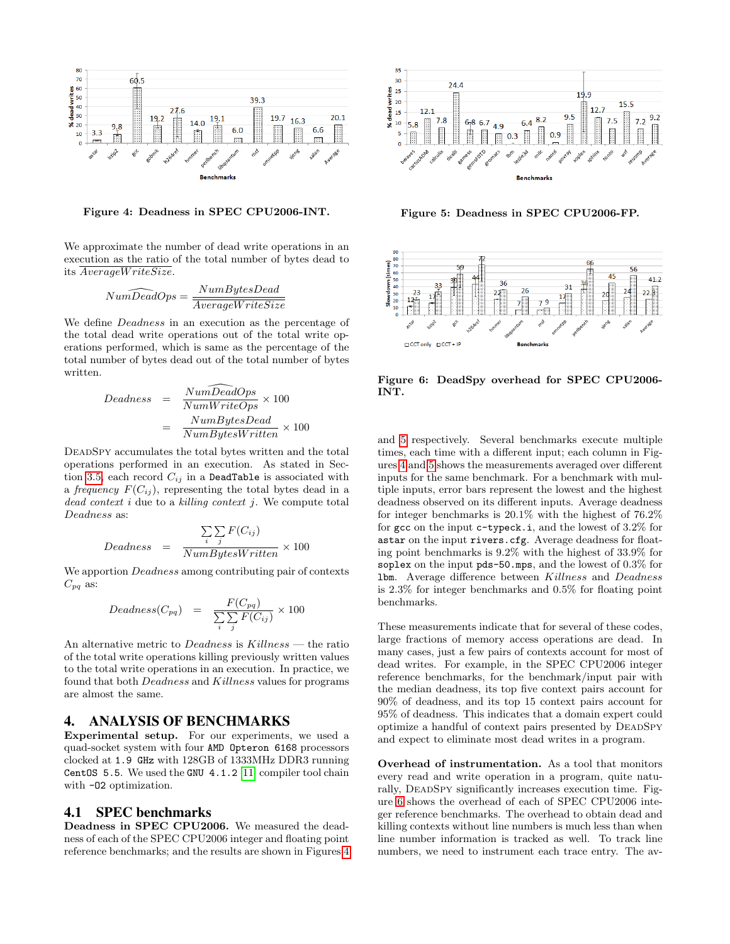

<span id="page-4-1"></span>Figure 4: Deadness in SPEC CPU2006-INT.

We approximate the number of dead write operations in an execution as the ratio of the total number of bytes dead to its AverageW riteSize.

$$
NumDe\widehat{dealogps} = \frac{NumBytesDead}{AverageWriteSize}
$$

We define Deadness in an execution as the percentage of the total dead write operations out of the total write operations performed, which is same as the percentage of the total number of bytes dead out of the total number of bytes written.

$$
Deadness = \frac{NumDeadOps}{NumWriteOps} \times 100
$$

$$
= \frac{NumBytesDead}{NumBytesWriten} \times 100
$$

DEADSPY accumulates the total bytes written and the total operations performed in an execution. As stated in Sec-tion [3.5,](#page-2-2) each record  $C_{ij}$  in a DeadTable is associated with a *frequency*  $F(C_{ij})$ , representing the total bytes dead in a dead context i due to a killing context j. We compute total Deadness as:

$$
Deadness = \frac{\sum_{i} \sum_{j} F(C_{ij})}{NumBytesWriter} \times 100
$$

We apportion *Deadness* among contributing pair of contexts  $C_{pq}$  as:

$$
Deadness(C_{pq}) = \frac{F(C_{pq})}{\sum_{i} \sum_{j} F(C_{ij})} \times 100
$$

An alternative metric to *Deadness* is Killness — the ratio of the total write operations killing previously written values to the total write operations in an execution. In practice, we found that both Deadness and Killness values for programs are almost the same.

## <span id="page-4-0"></span>4. ANALYSIS OF BENCHMARKS

Experimental setup. For our experiments, we used a quad-socket system with four AMD Opteron 6168 processors clocked at 1.9 GHz with 128GB of 1333MHz DDR3 running CentOS 5.5. We used the GNU 4.1.2 [\[11\]](#page-10-14) compiler tool chain with -O2 optimization.

## 4.1 SPEC benchmarks

Deadness in SPEC CPU2006. We measured the deadness of each of the SPEC CPU2006 integer and floating point reference benchmarks; and the results are shown in Figures [4](#page-4-1)



<span id="page-4-2"></span>Figure 5: Deadness in SPEC CPU2006-FP.



<span id="page-4-3"></span>Figure 6: DeadSpy overhead for SPEC CPU2006- INT.

and [5](#page-4-2) respectively. Several benchmarks execute multiple times, each time with a different input; each column in Figures [4](#page-4-1) and [5](#page-4-2) shows the measurements averaged over different inputs for the same benchmark. For a benchmark with multiple inputs, error bars represent the lowest and the highest deadness observed on its different inputs. Average deadness for integer benchmarks is 20.1% with the highest of 76.2% for gcc on the input c-typeck.i, and the lowest of 3.2% for astar on the input rivers.cfg. Average deadness for floating point benchmarks is 9.2% with the highest of 33.9% for soplex on the input pds-50.mps, and the lowest of 0.3% for lbm. Average difference between Killness and Deadness is 2.3% for integer benchmarks and 0.5% for floating point benchmarks.

These measurements indicate that for several of these codes, large fractions of memory access operations are dead. In many cases, just a few pairs of contexts account for most of dead writes. For example, in the SPEC CPU2006 integer reference benchmarks, for the benchmark/input pair with the median deadness, its top five context pairs account for 90% of deadness, and its top 15 context pairs account for 95% of deadness. This indicates that a domain expert could optimize a handful of context pairs presented by DEADSPY and expect to eliminate most dead writes in a program.

Overhead of instrumentation. As a tool that monitors every read and write operation in a program, quite naturally, DEADSPY significantly increases execution time. Figure [6](#page-4-3) shows the overhead of each of SPEC CPU2006 integer reference benchmarks. The overhead to obtain dead and killing contexts without line numbers is much less than when line number information is tracked as well. To track line numbers, we need to instrument each trace entry. The av-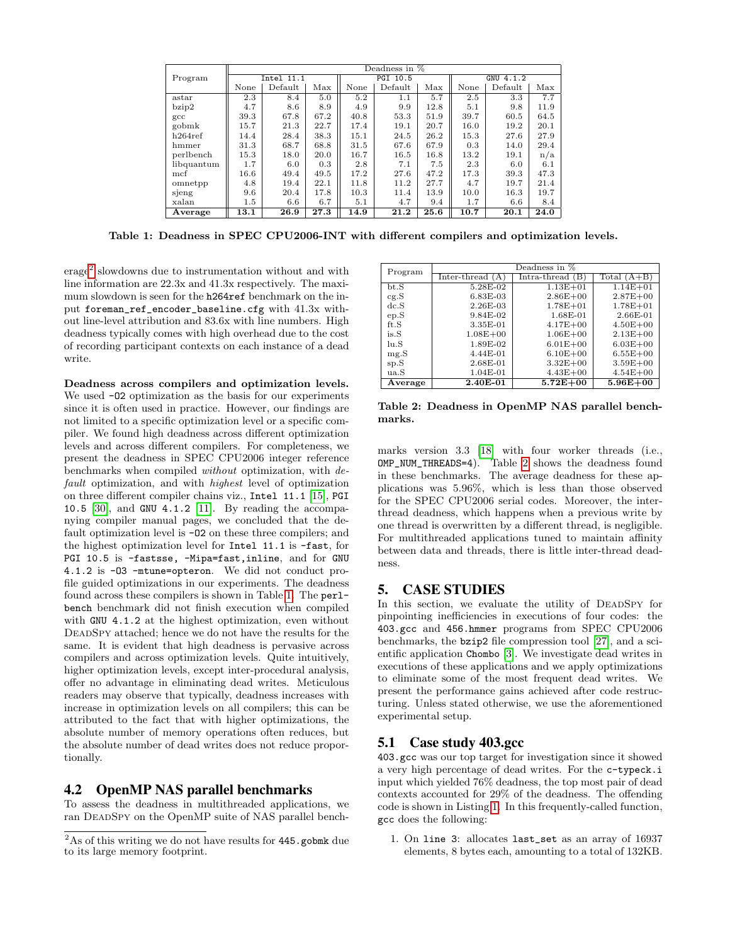|              | Deadness in % |                |      |          |         |      |           |         |      |
|--------------|---------------|----------------|------|----------|---------|------|-----------|---------|------|
| Program      |               | $Intel$ $11.1$ |      | PGI 10.5 |         |      | GNU 4.1.2 |         |      |
|              | None          | Default        | Max  | None     | Default | Max  | None      | Default | Max  |
| astar        | 2.3           | 8.4            | 5.0  | 5.2      | 1.1     | 5.7  | $2.5\,$   | 3.3     | 7.7  |
| bzip2        | 4.7           | 8.6            | 8.9  | 4.9      | 9.9     | 12.8 | 5.1       | 9.8     | 11.9 |
| $_{\rm gcc}$ | 39.3          | 67.8           | 67.2 | 40.8     | 53.3    | 51.9 | 39.7      | 60.5    | 64.5 |
| gobmk        | 15.7          | 21.3           | 22.7 | 17.4     | 19.1    | 20.7 | 16.0      | 19.2    | 20.1 |
| h264ref      | 14.4          | 28.4           | 38.3 | 15.1     | 24.5    | 26.2 | 15.3      | 27.6    | 27.9 |
| hmmer        | 31.3          | 68.7           | 68.8 | 31.5     | 67.6    | 67.9 | 0.3       | 14.0    | 29.4 |
| perlbench    | 15.3          | 18.0           | 20.0 | 16.7     | 16.5    | 16.8 | 13.2      | 19.1    | n/a  |
| libquantum   | 1.7           | 6.0            | 0.3  | 2.8      | 7.1     | 7.5  | 2.3       | 6.0     | 6.1  |
| mcf          | 16.6          | 49.4           | 49.5 | 17.2     | 27.6    | 47.2 | 17.3      | 39.3    | 47.3 |
| omnetpp      | 4.8           | 19.4           | 22.1 | 11.8     | 11.2    | 27.7 | 4.7       | 19.7    | 21.4 |
| sjeng        | 9.6           | 20.4           | 17.8 | 10.3     | 11.4    | 13.9 | 10.0      | 16.3    | 19.7 |
| xalan        | 1.5           | 6.6            | 6.7  | 5.1      | 4.7     | 9.4  | 1.7       | 6.6     | 8.4  |
| Average      | 13.1          | 26.9           | 27.3 | 14.9     | 21.2    | 25.6 | 10.7      | 20.1    | 24.0 |

<span id="page-5-2"></span>Table 1: Deadness in SPEC CPU2006-INT with different compilers and optimization levels.

erage<sup>[2](#page-5-1)</sup> slowdowns due to instrumentation without and with line information are 22.3x and 41.3x respectively. The maximum slowdown is seen for the h264ref benchmark on the input foreman\_ref\_encoder\_baseline.cfg with 41.3x without line-level attribution and 83.6x with line numbers. High deadness typically comes with high overhead due to the cost of recording participant contexts on each instance of a dead write.

Deadness across compilers and optimization levels. We used  $-02$  optimization as the basis for our experiments since it is often used in practice. However, our findings are not limited to a specific optimization level or a specific compiler. We found high deadness across different optimization levels and across different compilers. For completeness, we present the deadness in SPEC CPU2006 integer reference benchmarks when compiled without optimization, with default optimization, and with highest level of optimization on three different compiler chains viz., Intel 11.1 [\[15\]](#page-10-15), PGI 10.5 [\[30\]](#page-10-16), and GNU 4.1.2 [\[11\]](#page-10-14). By reading the accompanying compiler manual pages, we concluded that the default optimization level is -O2 on these three compilers; and the highest optimization level for Intel 11.1 is -fast, for PGI 10.5 is -fastsse, -Mipa=fast,inline, and for GNU 4.1.2 is -O3 -mtune=opteron. We did not conduct profile guided optimizations in our experiments. The deadness found across these compilers is shown in Table [1.](#page-5-2) The perlbench benchmark did not finish execution when compiled with GNU 4.1.2 at the highest optimization, even without DEADSPY attached; hence we do not have the results for the same. It is evident that high deadness is pervasive across compilers and across optimization levels. Quite intuitively, higher optimization levels, except inter-procedural analysis, offer no advantage in eliminating dead writes. Meticulous readers may observe that typically, deadness increases with increase in optimization levels on all compilers; this can be attributed to the fact that with higher optimizations, the absolute number of memory operations often reduces, but the absolute number of dead writes does not reduce proportionally.

#### 4.2 OpenMP NAS parallel benchmarks

To assess the deadness in multithreaded applications, we ran DEADSPY on the OpenMP suite of NAS parallel bench-

| Program       | Deadness in %   |                             |               |  |  |
|---------------|-----------------|-----------------------------|---------------|--|--|
|               | Inter-thread (A | $Intra\text{-}thread$<br>(B | Total $(A+B)$ |  |  |
| bt.S          | 5.28E-02        | $1.13E + 01$                | $1.14E + 01$  |  |  |
| cg.S          | $6.83E-03$      | $2.86E + 00$                | $2.87E + 00$  |  |  |
| dc.S          | $2.26E-03$      | $1.78E + 01$                | $1.78E + 01$  |  |  |
| ep.S          | 9.84E-02        | 1.68E-01                    | 2.66E-01      |  |  |
| ft.S          | 3.35E-01        | $4.17E + 00$                | $4.50E + 00$  |  |  |
| is.S          | $1.08E + 00$    | $1.06E + 00$                | $2.13E + 00$  |  |  |
| lu.S          | 1.89E-02        | $6.01E + 00$                | $6.03E + 00$  |  |  |
| mg.S          | $4.44E-01$      | $6.10E + 00$                | $6.55E + 00$  |  |  |
| sp.S          | 2.68E-01        | $3.32E + 00$                | $3.59E + 00$  |  |  |
| $\text{ua.S}$ | $1.04E-01$      | $4.43E + 00$                | $4.54E + 00$  |  |  |
| Average       | 2.40E-01        | $5.72E + 00$                | $5.96E + 00$  |  |  |

<span id="page-5-3"></span>Table 2: Deadness in OpenMP NAS parallel benchmarks.

marks version 3.3 [\[18\]](#page-10-17) with four worker threads (i.e., OMP\_NUM\_THREADS=4). Table [2](#page-5-3) shows the deadness found in these benchmarks. The average deadness for these applications was 5.96%, which is less than those observed for the SPEC CPU2006 serial codes. Moreover, the interthread deadness, which happens when a previous write by one thread is overwritten by a different thread, is negligible. For multithreaded applications tuned to maintain affinity between data and threads, there is little inter-thread deadness.

# <span id="page-5-0"></span>5. CASE STUDIES

In this section, we evaluate the utility of DEADSPY for pinpointing inefficiencies in executions of four codes: the 403.gcc and 456.hmmer programs from SPEC CPU2006 benchmarks, the bzip2 file compression tool [\[27\]](#page-10-18), and a scientific application Chombo [\[3\]](#page-9-4). We investigate dead writes in executions of these applications and we apply optimizations to eliminate some of the most frequent dead writes. We present the performance gains achieved after code restructuring. Unless stated otherwise, we use the aforementioned experimental setup.

## 5.1 Case study 403.gcc

403.gcc was our top target for investigation since it showed a very high percentage of dead writes. For the c-typeck.i input which yielded 76% deadness, the top most pair of dead contexts accounted for 29% of the deadness. The offending code is shown in Listing [1.](#page-6-0) In this frequently-called function, gcc does the following:

1. On line 3: allocates last\_set as an array of 16937 elements, 8 bytes each, amounting to a total of 132KB.

<span id="page-5-1"></span><sup>&</sup>lt;sup>2</sup>As of this writing we do not have results for 445.gobmk due to its large memory footprint.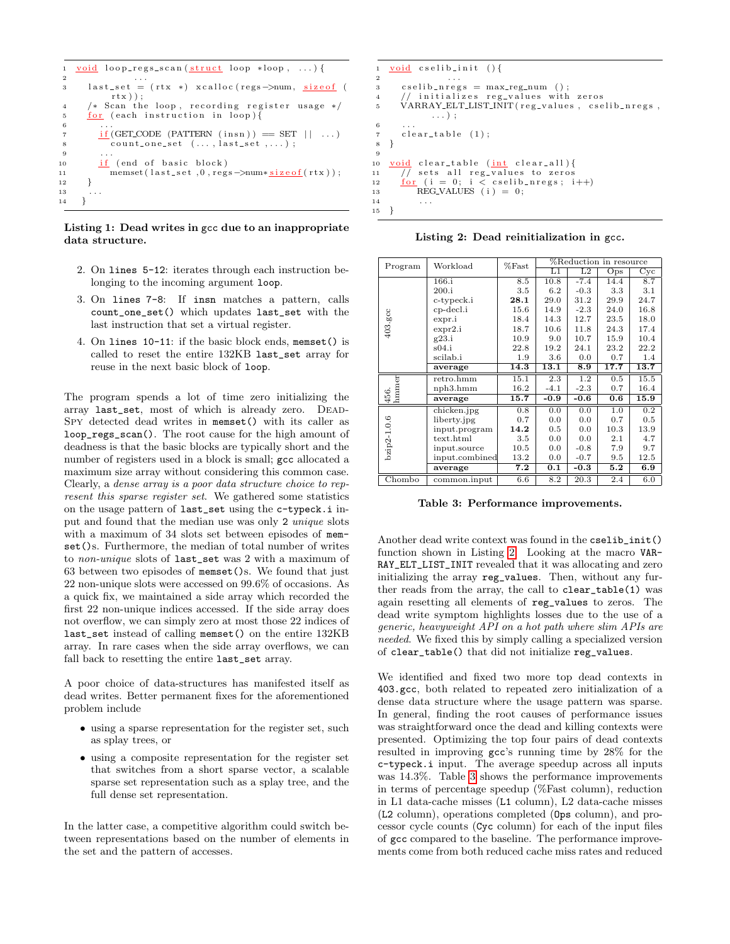```
1 void loop_regs_scan(struct loop *loop, ...){
 2 \qquad \qquad \ldots3 last_set = (rtx *) xcalloc(regs->num, sizeof (
           \mathrm{rtx} ) ) ;
4 /* Scan the loop, recording register usage */
5 \quad for (each instruction in loop) {
 6 \qquad \qquad \ldots\frac{\text{if (GET-CODE (PATTERN (insn))} = \text{SET } | \dots)}\begin{array}{ccc} 8 & \text{count\_one\_set} & (\dots, \text{last\_set}, \dots); \end{array}9 . . .
10 if (end of basic block)
11 memset (last_set, 0, \text{regs} \rightarrow num * size of (rtx));
12 }
13
14 }
```
Listing 1: Dead writes in gcc due to an inappropriate data structure.

- 2. On lines 5-12: iterates through each instruction belonging to the incoming argument loop.
- 3. On lines 7-8: If insn matches a pattern, calls count\_one\_set() which updates last\_set with the last instruction that set a virtual register.
- 4. On lines 10-11: if the basic block ends, memset() is called to reset the entire 132KB last\_set array for reuse in the next basic block of loop.

The program spends a lot of time zero initializing the array last\_set, most of which is already zero. DEAD-Spy detected dead writes in memset() with its caller as loop\_regs\_scan(). The root cause for the high amount of deadness is that the basic blocks are typically short and the number of registers used in a block is small; gcc allocated a maximum size array without considering this common case. Clearly, a dense array is a poor data structure choice to represent this sparse register set. We gathered some statistics on the usage pattern of last\_set using the c-typeck.i input and found that the median use was only 2 unique slots with a maximum of 34 slots set between episodes of memset()s. Furthermore, the median of total number of writes to non-unique slots of last\_set was 2 with a maximum of 63 between two episodes of memset()s. We found that just 22 non-unique slots were accessed on 99.6% of occasions. As a quick fix, we maintained a side array which recorded the first 22 non-unique indices accessed. If the side array does not overflow, we can simply zero at most those 22 indices of last\_set instead of calling memset() on the entire 132KB array. In rare cases when the side array overflows, we can fall back to resetting the entire last\_set array.

A poor choice of data-structures has manifested itself as dead writes. Better permanent fixes for the aforementioned problem include

- using a sparse representation for the register set, such as splay trees, or
- using a composite representation for the register set that switches from a short sparse vector, a scalable sparse set representation such as a splay tree, and the full dense set representation.

In the latter case, a competitive algorithm could switch between representations based on the number of elements in the set and the pattern of accesses.

```
1 void c selib-init (){
 2 \hspace{2.5cm} \ldots3 c selib_nreg s = max_reg_num ();
 4    // initializes reg_values with zeros<br>5    VARRAY_ELT_LIST_INIT(reg_values, cselib_nregs,
                  . . . ) ;
 6 \qquad \ldots7 \t\t\t\t\t\t\t\t\text{clear_table} (1);<br>8)
     }
9
10 \quad \underline{\text{void}} \quad \text{clear\_table} \quad (\underline{\text{int}} \quad \text{clear\_all}) \{11 // sets all reg_values to zeros<br>12 for (i = 0; i < cselib_nregs; i++)
13 REG_VALUES ( i ) = 0;<br>
14 ...
     14 . . .
15
```
Listing 2: Dead reinitialization in gcc.

| Program       | Workload       | $\%$ Fast | %Reduction in resource |                   |                         |              |  |
|---------------|----------------|-----------|------------------------|-------------------|-------------------------|--------------|--|
|               |                |           | L1                     | $^{\rm L2}$       | $\overline{\text{Ops}}$ | $_{\rm Cyc}$ |  |
|               | 166.i          | 8.5       | 10.8                   | $-7.4$            | 14.4                    | 8.7          |  |
|               | 200.i          | $3.5\,$   | 6.2                    | $-0.3$            | 3.3                     | 3.1          |  |
|               | c-typeck.i     | 28.1      | 29.0                   | 31.2              | 29.9                    | 24.7         |  |
|               | $cp-decl.i$    | 15.6      | 14.9                   | $-2.3$            | 24.0                    | 16.8         |  |
| 403.gcc       | expr.i         | 18.4      | 14.3                   | 12.7              | 23.5                    | 18.0         |  |
|               | expr2.i        | 18.7      | 10.6                   | 11.8              | 24.3                    | 17.4         |  |
|               | g23.i          | 10.9      | 9.0                    | 10.7              | 15.9                    | 10.4         |  |
|               | s04.i          | 22.8      | 19.2                   | 24.1              | 23.2                    | 22.2         |  |
|               | scilab.i       | 1.9       | 3.6                    | 0.0               | 0.7                     | 1.4          |  |
|               | average        | 14.3      | 13.1                   | 8.9               | 17.7                    | 13.7         |  |
|               | retro.hmm      | 15.1      | 2.3                    | 1.2               | $0.\overline{5}$        | 15.5         |  |
|               | nph3.hmm       | 16.2      | $-4.1$                 | $-2.3$            | 0.7                     | 16.4         |  |
| 456.<br>hmmer | average        | 15.7      | $-0.9$                 | $-0.6$            | 0.6                     | 15.9         |  |
|               | chicken.jpg    | 0.8       | 0.0                    | 0.0               | 1.0                     | 0.2          |  |
|               | liberty.jpg    | 0.7       | 0.0                    | 0.0               | 0.7                     | 0.5          |  |
| bzip2-1.0.6   | input.program  | 14.2      | 0.5                    | 0.0               | 10.3                    | 13.9         |  |
|               | text.html      | 3.5       | 0.0                    | 0.0               | 2.1                     | 4.7          |  |
|               | input.source   | 10.5      | 0.0                    | $-0.8$            | 7.9                     | 9.7          |  |
|               | input.combined | 13.2      | 0.0                    | $-0.7$            | 9.5                     | 12.5         |  |
|               | average        | 7.2       | 0.1                    | $-0.3$            | 5.2                     | 6.9          |  |
| Chombo        | common.input   | 6.6       | 8.2                    | $\overline{20.3}$ | $\overline{2.4}$        | 6.0          |  |

<span id="page-6-2"></span>Table 3: Performance improvements.

Another dead write context was found in the cselib\_init() function shown in Listing [2.](#page-6-1) Looking at the macro VAR-RAY\_ELT\_LIST\_INIT revealed that it was allocating and zero initializing the array reg\_values. Then, without any further reads from the array, the call to clear\_table(1) was again resetting all elements of reg\_values to zeros. The dead write symptom highlights losses due to the use of a generic, heavyweight API on a hot path where slim APIs are needed. We fixed this by simply calling a specialized version of clear\_table() that did not initialize reg\_values.

We identified and fixed two more top dead contexts in 403.gcc, both related to repeated zero initialization of a dense data structure where the usage pattern was sparse. In general, finding the root causes of performance issues was straightforward once the dead and killing contexts were presented. Optimizing the top four pairs of dead contexts resulted in improving gcc's running time by 28% for the c-typeck.i input. The average speedup across all inputs was 14.3%. Table [3](#page-6-2) shows the performance improvements in terms of percentage speedup (%Fast column), reduction in L1 data-cache misses (L1 column), L2 data-cache misses (L2 column), operations completed (Ops column), and processor cycle counts (Cyc column) for each of the input files of gcc compared to the baseline. The performance improvements come from both reduced cache miss rates and reduced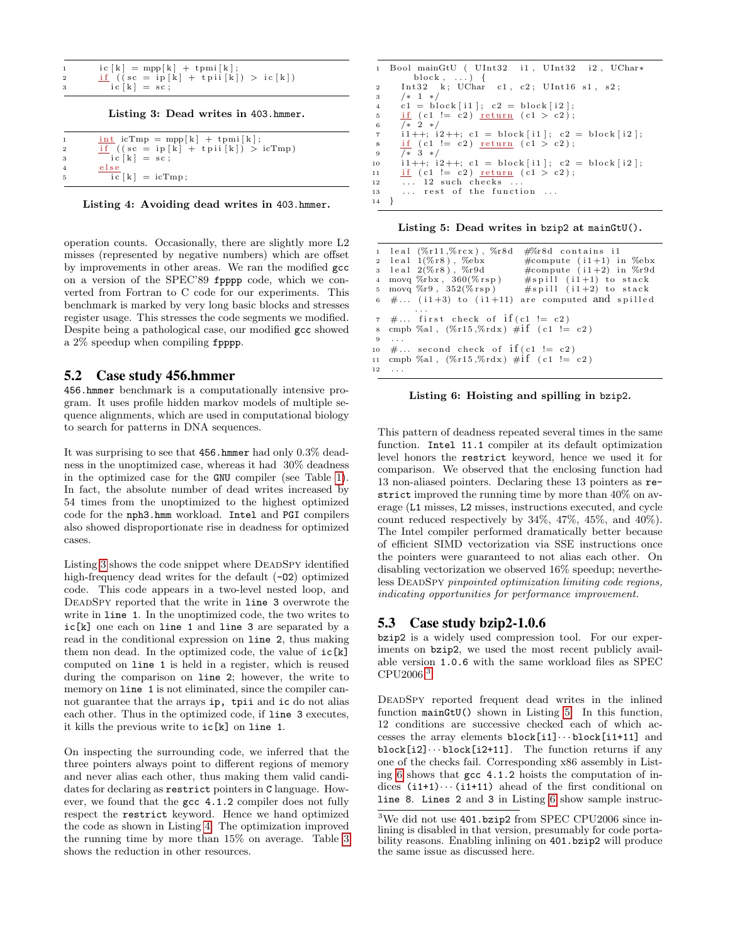<span id="page-7-0"></span>

|              | $ic [k] = mpp [k] + tpmi [k];$                |
|--------------|-----------------------------------------------|
| $\mathbf{2}$ | <u>if</u> $((sc = ip[k] + tip[i[k]) > ic[k])$ |
| -3           | $ic [k] = sc;$                                |

Listing 3: Dead writes in 403.hmmer.

<span id="page-7-1"></span>

| 1              | $\frac{\text{int}}{\text{int}}$ icTmp = mpp[k] + tpmi[k]; |
|----------------|-----------------------------------------------------------|
| $\overline{2}$ | if $((sc = ip[k] + tip[i[k]) > icTmp)$                    |
| 3              | $ic[k] = sc;$                                             |
| $\overline{4}$ | else                                                      |
| 5              | $ic [k] = icTmp;$                                         |
|                |                                                           |

Listing 4: Avoiding dead writes in 403.hmmer.

operation counts. Occasionally, there are slightly more L2 misses (represented by negative numbers) which are offset by improvements in other areas. We ran the modified gcc on a version of the SPEC'89 fpppp code, which we converted from Fortran to C code for our experiments. This benchmark is marked by very long basic blocks and stresses register usage. This stresses the code segments we modified. Despite being a pathological case, our modified gcc showed a 2% speedup when compiling fpppp.

#### 5.2 Case study 456.hmmer

456.hmmer benchmark is a computationally intensive program. It uses profile hidden markov models of multiple sequence alignments, which are used in computational biology to search for patterns in DNA sequences.

It was surprising to see that 456.hmmer had only 0.3% deadness in the unoptimized case, whereas it had 30% deadness in the optimized case for the GNU compiler (see Table [1\)](#page-5-2). In fact, the absolute number of dead writes increased by 54 times from the unoptimized to the highest optimized code for the nph3.hmm workload. Intel and PGI compilers also showed disproportionate rise in deadness for optimized cases.

Listing [3](#page-7-0) shows the code snippet where DEADSPY identified high-frequency dead writes for the default (-02) optimized code. This code appears in a two-level nested loop, and DeadSpy reported that the write in line 3 overwrote the write in line 1. In the unoptimized code, the two writes to ic[k] one each on line 1 and line 3 are separated by a read in the conditional expression on line 2, thus making them non dead. In the optimized code, the value of ic[k] computed on line 1 is held in a register, which is reused during the comparison on line 2; however, the write to memory on line 1 is not eliminated, since the compiler cannot guarantee that the arrays ip, tpii and ic do not alias each other. Thus in the optimized code, if line 3 executes, it kills the previous write to ic[k] on line 1.

On inspecting the surrounding code, we inferred that the three pointers always point to different regions of memory and never alias each other, thus making them valid candidates for declaring as restrict pointers in C language. However, we found that the gcc 4.1.2 compiler does not fully respect the restrict keyword. Hence we hand optimized the code as shown in Listing [4.](#page-7-1) The optimization improved the running time by more than 15% on average. Table [3](#page-6-2) shows the reduction in other resources.

```
1 Bool mainGtU ( UInt32 i1, UInt32 i2, UChar∗
        block, \dots) {<br>Int32 k; UChar
2 Int32 k; UChar c1, c2; UInt16 s1, s2;<br>3 /* 1 */3 /∗ 1 ∗/
4 c1 = block [i1]; c2 = block [i2];<br>5 if (c1 != c2) <u>return</u> (c1 > c2);
5 if (c1 := c2) return (c1 > c2);2 */7 i1++; i2++; c1 = block [i1]; c2 = block [i2];<br>s if (c1 != c2) return (c1 > c2);
        if ( c1 != c2 ) <u>return</u> ( c1 > c2 );
9 /* 3 */<br>10 i1++; ii1++; i2++, c1 = block[i1]; c2 = block[i2];11 if (c1 \leq c2) <u>return</u> (c1 > c2);<br>
12 such checks
        \overline{\ldots} 12 such checks
\begin{array}{cccc} 13 & \ldots & \text{rest} \text{ of the function} \\ 14 & \end{array}14
```
Listing 5: Dead writes in bzip2 at mainGtU().

<span id="page-7-4"></span>

|                |                      | 1 leal (%r11,%rcx), %r8d<br>#%r8d contains i1               |
|----------------|----------------------|-------------------------------------------------------------|
|                |                      | 2 leal $1(\%r8)$ , $%$ ebx<br>#compute $(i1+1)$ in %ebx     |
|                |                      | 3 leal $2(\%r8)$ , $%r9d$<br>#compute $(i1+2)$ in %r9d      |
| $\overline{4}$ |                      | movq $\%$ rbx, 360( $\%$ rsp)<br>$\#$ spill (i1+1) to stack |
|                |                      | 5 movq $\%$ r9, 352( $\%$ rsp) #spill (i1+2) to stack       |
|                |                      | are computed and spilled<br>6 $\#$ (i1+3) to (i1+11)        |
|                |                      |                                                             |
|                |                      | 7 $\#$ first check of if $(c1 \leq c2)$                     |
|                |                      | s cmpb %al, $(\%r15, \%rdx)$ #if $(c1 := c2)$               |
| 9              | $\sim$ $\sim$ $\sim$ |                                                             |
|                |                      | 10 $\#$ second check of if $(c1 \leq c2)$                   |
| 11             |                      | cmpb %al, $(\%r15, \%rdx)$ #if $(c1 := c2)$                 |
|                | $12 \ldots$          |                                                             |
|                |                      |                                                             |

Listing 6: Hoisting and spilling in bzip2.

This pattern of deadness repeated several times in the same function. Intel 11.1 compiler at its default optimization level honors the restrict keyword, hence we used it for comparison. We observed that the enclosing function had 13 non-aliased pointers. Declaring these 13 pointers as restrict improved the running time by more than 40% on average (L1 misses, L2 misses, instructions executed, and cycle count reduced respectively by 34%, 47%, 45%, and 40%). The Intel compiler performed dramatically better because of efficient SIMD vectorization via SSE instructions once the pointers were guaranteed to not alias each other. On disabling vectorization we observed 16% speedup; nevertheless DEADSPY pinpointed optimization limiting code regions, indicating opportunities for performance improvement.

# 5.3 Case study bzip2-1.0.6

bzip2 is a widely used compression tool. For our experiments on bzip2, we used the most recent publicly available version 1.0.6 with the same workload files as SPEC CPU2006.[3](#page-7-2)

DeadSpy reported frequent dead writes in the inlined function mainGtU() shown in Listing [5.](#page-7-3) In this function, 12 conditions are successive checked each of which accesses the array elements  $block[i1] \cdots block[i1+11]$  and  $block[i2] \cdots block[i2+11]$ . The function returns if any one of the checks fail. Corresponding x86 assembly in Listing [6](#page-7-4) shows that gcc 4.1.2 hoists the computation of indices  $(i1+1)\cdots(i1+11)$  ahead of the first conditional on line 8. Lines 2 and 3 in Listing [6](#page-7-4) show sample instruc-

<span id="page-7-2"></span><sup>3</sup>We did not use 401.bzip2 from SPEC CPU2006 since inlining is disabled in that version, presumably for code portability reasons. Enabling inlining on 401.bzip2 will produce the same issue as discussed here.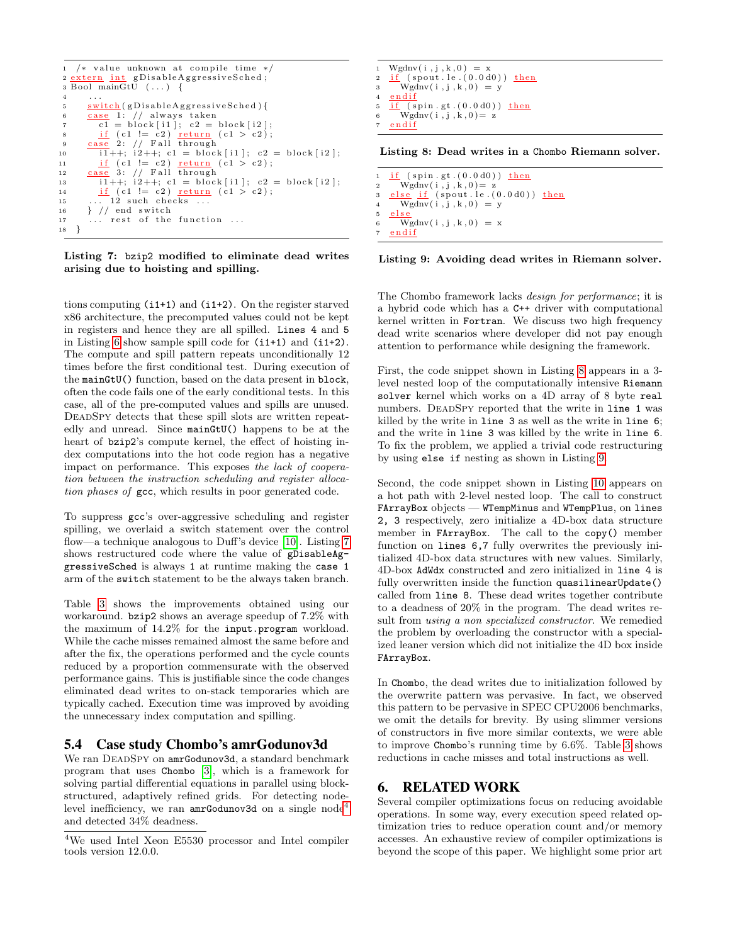```
1 / * value unknown at compile time */2 <u>extern int</u> gDisableAggressiveSched;<br>3 Bool mainGtU (...) {
 4 . . .
 5 switch (gDisableAggressiveSched) {
 6 case 1: // always taken7 c1 = block [i1]; c2 = block [i2];
 \begin{array}{lll} 8 & \quad \underline{\text{if}} \ (\text{c1} \ != \text{c2}) \ \underline{\text{case}} \ 2: \ // \ \text{Fall through} \end{array}10 i1++; i2++; c1 = block[i1]; c2 = block[i2];11 if (c1 \leq c2) return (c1 > c2);
12 \quad \text{case} \quad 3: \quad \text{/} \quad \text{Fall} \quad \text{through}13 \overline{i_1^1} \overline{i_2^2} \overline{i_1^2} \overline{i_2^2} \overline{i_1^2} \overline{i_2^2} \overline{i_1^2} \overline{i_2^2} \overline{i_2^2} \overline{i_1^2} \overline{i_2^2} \overline{i_2^2} \overline{i_1^2} \overline{i_2^2} \overline{i_2^2} \overline{i_1^2} \overline{i_2^2} \overline{i_2^2} \14 \frac{\text{if}}{15} ( c1 != c2) <u>return</u> ( c1 > c2);<br>15 ... 12 such checks ...
                  12 such checks ...
16 } // end switch
17 \ldots rest of the function ...
18 }
```
Listing 7: bzip2 modified to eliminate dead writes arising due to hoisting and spilling.

tions computing (i1+1) and (i1+2). On the register starved x86 architecture, the precomputed values could not be kept in registers and hence they are all spilled. Lines 4 and 5 in Listing [6](#page-7-4) show sample spill code for (i1+1) and (i1+2). The compute and spill pattern repeats unconditionally 12 times before the first conditional test. During execution of the mainGtU() function, based on the data present in block, often the code fails one of the early conditional tests. In this case, all of the pre-computed values and spills are unused. DEADSPY detects that these spill slots are written repeatedly and unread. Since mainGtU() happens to be at the heart of bzip2's compute kernel, the effect of hoisting index computations into the hot code region has a negative impact on performance. This exposes the lack of cooperation between the instruction scheduling and register allocation phases of gcc, which results in poor generated code.

To suppress gcc's over-aggressive scheduling and register spilling, we overlaid a switch statement over the control flow—a technique analogous to Duff's device [\[10\]](#page-10-19). Listing [7](#page-8-1) shows restructured code where the value of gDisableAggressiveSched is always 1 at runtime making the case 1 arm of the switch statement to be the always taken branch.

Table [3](#page-6-2) shows the improvements obtained using our workaround. bzip2 shows an average speedup of 7.2% with the maximum of 14.2% for the input.program workload. While the cache misses remained almost the same before and after the fix, the operations performed and the cycle counts reduced by a proportion commensurate with the observed performance gains. This is justifiable since the code changes eliminated dead writes to on-stack temporaries which are typically cached. Execution time was improved by avoiding the unnecessary index computation and spilling.

#### 5.4 Case study Chombo's amrGodunov3d

We ran DEADSPY on amrGodunov3d, a standard benchmark program that uses Chombo [\[3\]](#page-9-4), which is a framework for solving partial differential equations in parallel using blockstructured, adaptively refined grids. For detecting nodelevel inefficiency, we ran  $\text{amr}$ Godunov3d on a single node<sup>[4](#page-8-2)</sup> and detected 34% deadness.

```
1 Wgdnv(i, j, k, 0) = x2 if (spout le (0.0 d0)) then
3 Wgdnv(i, j, k, 0) = y4 endif
5 \text{ if } (spin.get.(0.0 d0)) \text{ then}6 Wgdnv(i, j, k, 0) = zendif
```
Listing 8: Dead writes in a Chombo Riemann solver.

<span id="page-8-4"></span> $(spin.get.(0.0 d0))$  then 2 Wgdnv $(i, j, k, 0) = z$  $3 \text{ else if } ($  spout  $\text{ le } .(0.0 d0) )$  then  $\begin{array}{lll} \text{4} & \overline{\text{Wgdnv}}(i,j,k,0) = y \\ \text{5} & \text{else} \end{array}$  $e$ <sup>l s</sup> 6 Wgdnv $(i, j, k, 0) = x$ endif



The Chombo framework lacks design for performance; it is a hybrid code which has a C++ driver with computational kernel written in Fortran. We discuss two high frequency dead write scenarios where developer did not pay enough attention to performance while designing the framework.

First, the code snippet shown in Listing [8](#page-8-3) appears in a 3 level nested loop of the computationally intensive Riemann solver kernel which works on a 4D array of 8 byte real numbers. DEADSPY reported that the write in line 1 was killed by the write in line 3 as well as the write in line 6; and the write in line 3 was killed by the write in line 6. To fix the problem, we applied a trivial code restructuring by using else if nesting as shown in Listing [9.](#page-8-4)

Second, the code snippet shown in Listing [10](#page-9-5) appears on a hot path with 2-level nested loop. The call to construct FArrayBox objects — WTempMinus and WTempPlus, on lines 2, 3 respectively, zero initialize a 4D-box data structure member in FArrayBox. The call to the copy() member function on lines 6,7 fully overwrites the previously initialized 4D-box data structures with new values. Similarly, 4D-box AdWdx constructed and zero initialized in line 4 is fully overwritten inside the function quasilinearUpdate() called from line 8. These dead writes together contribute to a deadness of 20% in the program. The dead writes result from using a non specialized constructor. We remedied the problem by overloading the constructor with a specialized leaner version which did not initialize the 4D box inside FArrayBox.

In Chombo, the dead writes due to initialization followed by the overwrite pattern was pervasive. In fact, we observed this pattern to be pervasive in SPEC CPU2006 benchmarks, we omit the details for brevity. By using slimmer versions of constructors in five more similar contexts, we were able to improve Chombo's running time by 6.6%. Table [3](#page-6-2) shows reductions in cache misses and total instructions as well.

# <span id="page-8-0"></span>6. RELATED WORK

Several compiler optimizations focus on reducing avoidable operations. In some way, every execution speed related optimization tries to reduce operation count and/or memory accesses. An exhaustive review of compiler optimizations is beyond the scope of this paper. We highlight some prior art

<span id="page-8-2"></span><sup>4</sup>We used Intel Xeon E5530 processor and Intel compiler tools version 12.0.0.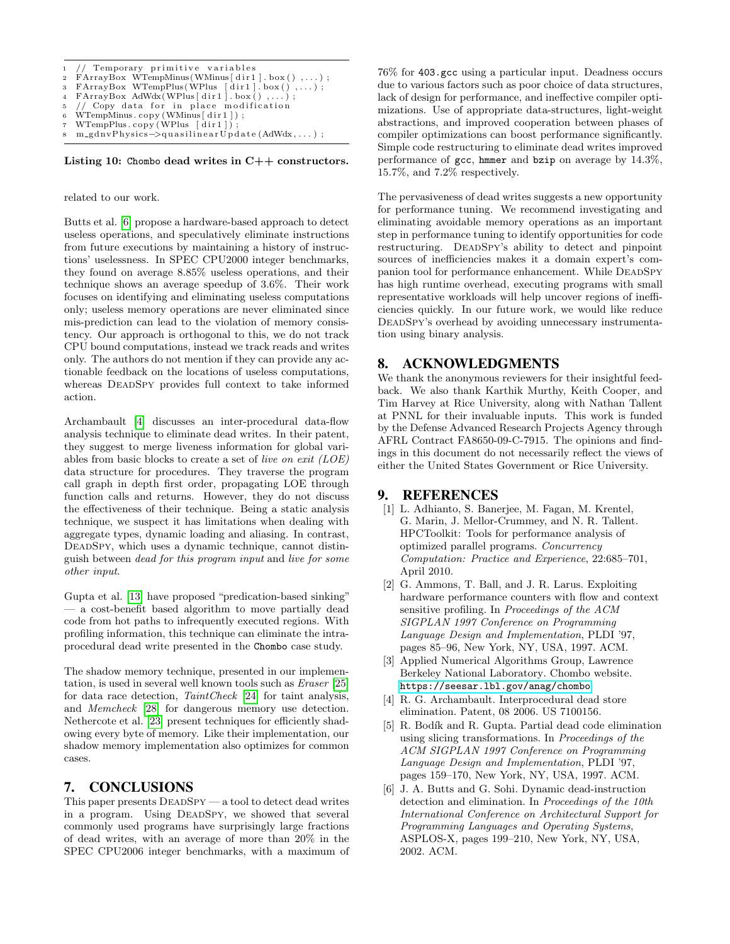```
Temporary primitive variables
2 FArrayBox WTempMinus(WMinus[dir1].box(),...);<br>3 FArrayBox WTempPlus(WPlus [dir1].box(),...);
4 FArrayBox AdWdx(WPlus [dir1].box(),...);
5 // Copy data for in place modification
\overline{6} WTempMinus . copy (WMinus [dir1]);
  WTempPlus.copy (WPlus [dir1])m_gdnvPhysics->quasilinearUpdate (AdWdx, ...);
```
Listing 10: Chombo dead writes in  $C++$  constructors.

#### related to our work.

Butts et al. [\[6\]](#page-9-6) propose a hardware-based approach to detect useless operations, and speculatively eliminate instructions from future executions by maintaining a history of instructions' uselessness. In SPEC CPU2000 integer benchmarks, they found on average 8.85% useless operations, and their technique shows an average speedup of 3.6%. Their work focuses on identifying and eliminating useless computations only; useless memory operations are never eliminated since mis-prediction can lead to the violation of memory consistency. Our approach is orthogonal to this, we do not track CPU bound computations, instead we track reads and writes only. The authors do not mention if they can provide any actionable feedback on the locations of useless computations, whereas DEADSPY provides full context to take informed action.

Archambault [\[4\]](#page-9-7) discusses an inter-procedural data-flow analysis technique to eliminate dead writes. In their patent, they suggest to merge liveness information for global variables from basic blocks to create a set of live on exit (LOE) data structure for procedures. They traverse the program call graph in depth first order, propagating LOE through function calls and returns. However, they do not discuss the effectiveness of their technique. Being a static analysis technique, we suspect it has limitations when dealing with aggregate types, dynamic loading and aliasing. In contrast, DEADSPY, which uses a dynamic technique, cannot distinguish between dead for this program input and live for some other input.

Gupta et al. [\[13\]](#page-10-20) have proposed "predication-based sinking" — a cost-benefit based algorithm to move partially dead code from hot paths to infrequently executed regions. With profiling information, this technique can eliminate the intraprocedural dead write presented in the Chombo case study.

The shadow memory technique, presented in our implementation, is used in several well known tools such as Eraser [\[25\]](#page-10-21) for data race detection, TaintCheck [\[24\]](#page-10-22) for taint analysis, and Memcheck [\[28\]](#page-10-23) for dangerous memory use detection. Nethercote et al. [\[23\]](#page-10-11) present techniques for efficiently shadowing every byte of memory. Like their implementation, our shadow memory implementation also optimizes for common cases.

# <span id="page-9-2"></span>7. CONCLUSIONS

This paper presents  $D$ EADSPY — a tool to detect dead writes in a program. Using DEADSPY, we showed that several commonly used programs have surprisingly large fractions of dead writes, with an average of more than 20% in the SPEC CPU2006 integer benchmarks, with a maximum of 76% for 403.gcc using a particular input. Deadness occurs due to various factors such as poor choice of data structures, lack of design for performance, and ineffective compiler optimizations. Use of appropriate data-structures, light-weight abstractions, and improved cooperation between phases of compiler optimizations can boost performance significantly. Simple code restructuring to eliminate dead writes improved performance of gcc, hmmer and bzip on average by 14.3%, 15.7%, and 7.2% respectively.

The pervasiveness of dead writes suggests a new opportunity for performance tuning. We recommend investigating and eliminating avoidable memory operations as an important step in performance tuning to identify opportunities for code restructuring. DEADSPY's ability to detect and pinpoint sources of inefficiencies makes it a domain expert's companion tool for performance enhancement. While DEADSPY has high runtime overhead, executing programs with small representative workloads will help uncover regions of inefficiencies quickly. In our future work, we would like reduce DEADSPY's overhead by avoiding unnecessary instrumentation using binary analysis.

## 8. ACKNOWLEDGMENTS

We thank the anonymous reviewers for their insightful feedback. We also thank Karthik Murthy, Keith Cooper, and Tim Harvey at Rice University, along with Nathan Tallent at PNNL for their invaluable inputs. This work is funded by the Defense Advanced Research Projects Agency through AFRL Contract FA8650-09-C-7915. The opinions and findings in this document do not necessarily reflect the views of either the United States Government or Rice University.

#### 9. REFERENCES

- <span id="page-9-0"></span>[1] L. Adhianto, S. Banerjee, M. Fagan, M. Krentel, G. Marin, J. Mellor-Crummey, and N. R. Tallent. HPCToolkit: Tools for performance analysis of optimized parallel programs. Concurrency Computation: Practice and Experience, 22:685–701, April 2010.
- <span id="page-9-3"></span>[2] G. Ammons, T. Ball, and J. R. Larus. Exploiting hardware performance counters with flow and context sensitive profiling. In Proceedings of the ACM SIGPLAN 1997 Conference on Programming Language Design and Implementation, PLDI '97, pages 85–96, New York, NY, USA, 1997. ACM.
- <span id="page-9-4"></span>[3] Applied Numerical Algorithms Group, Lawrence Berkeley National Laboratory. Chombo website. <https://seesar.lbl.gov/anag/chombo>.
- <span id="page-9-7"></span>[4] R. G. Archambault. Interprocedural dead store elimination. Patent, 08 2006. US 7100156.
- <span id="page-9-1"></span>[5] R. Bodík and R. Gupta. Partial dead code elimination using slicing transformations. In Proceedings of the ACM SIGPLAN 1997 Conference on Programming Language Design and Implementation, PLDI '97, pages 159–170, New York, NY, USA, 1997. ACM.
- <span id="page-9-6"></span>[6] J. A. Butts and G. Sohi. Dynamic dead-instruction detection and elimination. In Proceedings of the 10th International Conference on Architectural Support for Programming Languages and Operating Systems, ASPLOS-X, pages 199–210, New York, NY, USA, 2002. ACM.